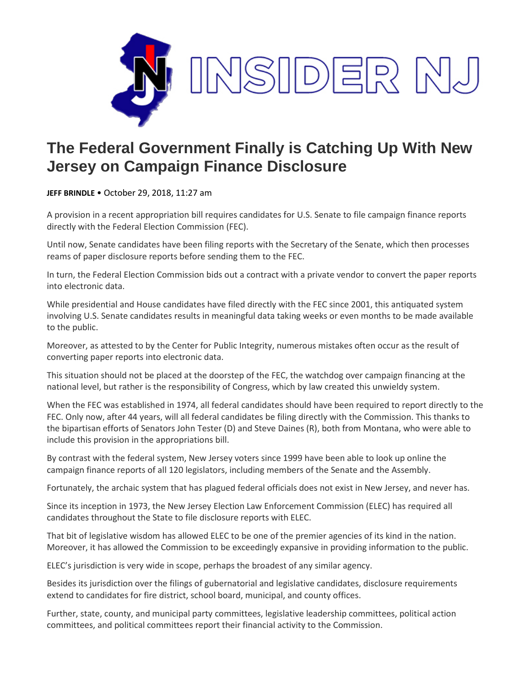

## **The Federal Government Finally is Catching Up With New Jersey on Campaign Finance Disclosure**

**JEFF BRINDLE** • October 29, 2018, 11:27 am

A provision in a recent appropriation bill requires candidates for U.S. Senate to file campaign finance reports directly with the Federal Election Commission (FEC).

Until now, Senate candidates have been filing reports with the Secretary of the Senate, which then processes reams of paper disclosure reports before sending them to the FEC.

In turn, the Federal Election Commission bids out a contract with a private vendor to convert the paper reports into electronic data.

While presidential and House candidates have filed directly with the FEC since 2001, this antiquated system involving U.S. Senate candidates results in meaningful data taking weeks or even months to be made available to the public.

Moreover, as attested to by the Center for Public Integrity, numerous mistakes often occur as the result of converting paper reports into electronic data.

This situation should not be placed at the doorstep of the FEC, the watchdog over campaign financing at the national level, but rather is the responsibility of Congress, which by law created this unwieldy system.

When the FEC was established in 1974, all federal candidates should have been required to report directly to the FEC. Only now, after 44 years, will all federal candidates be filing directly with the Commission. This thanks to the bipartisan efforts of Senators John Tester (D) and Steve Daines (R), both from Montana, who were able to include this provision in the appropriations bill.

By contrast with the federal system, New Jersey voters since 1999 have been able to look up online the campaign finance reports of all 120 legislators, including members of the Senate and the Assembly.

Fortunately, the archaic system that has plagued federal officials does not exist in New Jersey, and never has.

Since its inception in 1973, the New Jersey Election Law Enforcement Commission (ELEC) has required all candidates throughout the State to file disclosure reports with ELEC.

That bit of legislative wisdom has allowed ELEC to be one of the premier agencies of its kind in the nation. Moreover, it has allowed the Commission to be exceedingly expansive in providing information to the public.

ELEC's jurisdiction is very wide in scope, perhaps the broadest of any similar agency.

Besides its jurisdiction over the filings of gubernatorial and legislative candidates, disclosure requirements extend to candidates for fire district, school board, municipal, and county offices.

Further, state, county, and municipal party committees, legislative leadership committees, political action committees, and political committees report their financial activity to the Commission.